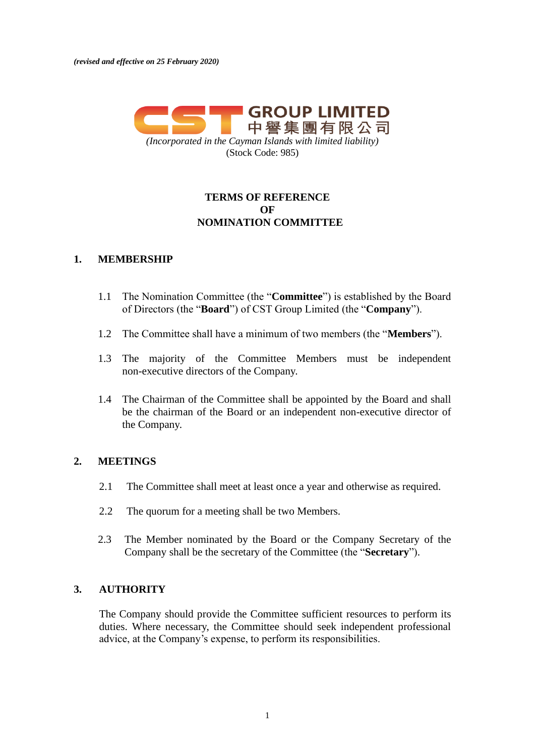

# **TERMS OF REFERENCE OF NOMINATION COMMITTEE**

### **1. MEMBERSHIP**

- 1.1 The Nomination Committee (the "**Committee**") is established by the Board of Directors (the "**Board**") of CST Group Limited (the "**Company**").
- 1.2 The Committee shall have a minimum of two members (the "**Members**").
- 1.3 The majority of the Committee Members must be independent non-executive directors of the Company.
- 1.4 The Chairman of the Committee shall be appointed by the Board and shall be the chairman of the Board or an independent non-executive director of the Company.

### **2. MEETINGS**

- 2.1 The Committee shall meet at least once a year and otherwise as required.
- 2.2 The quorum for a meeting shall be two Members.
- 2.3 The Member nominated by the Board or the Company Secretary of the Company shall be the secretary of the Committee (the "**Secretary**").

### **3. AUTHORITY**

The Company should provide the Committee sufficient resources to perform its duties. Where necessary, the Committee should seek independent professional advice, at the Company's expense, to perform its responsibilities.